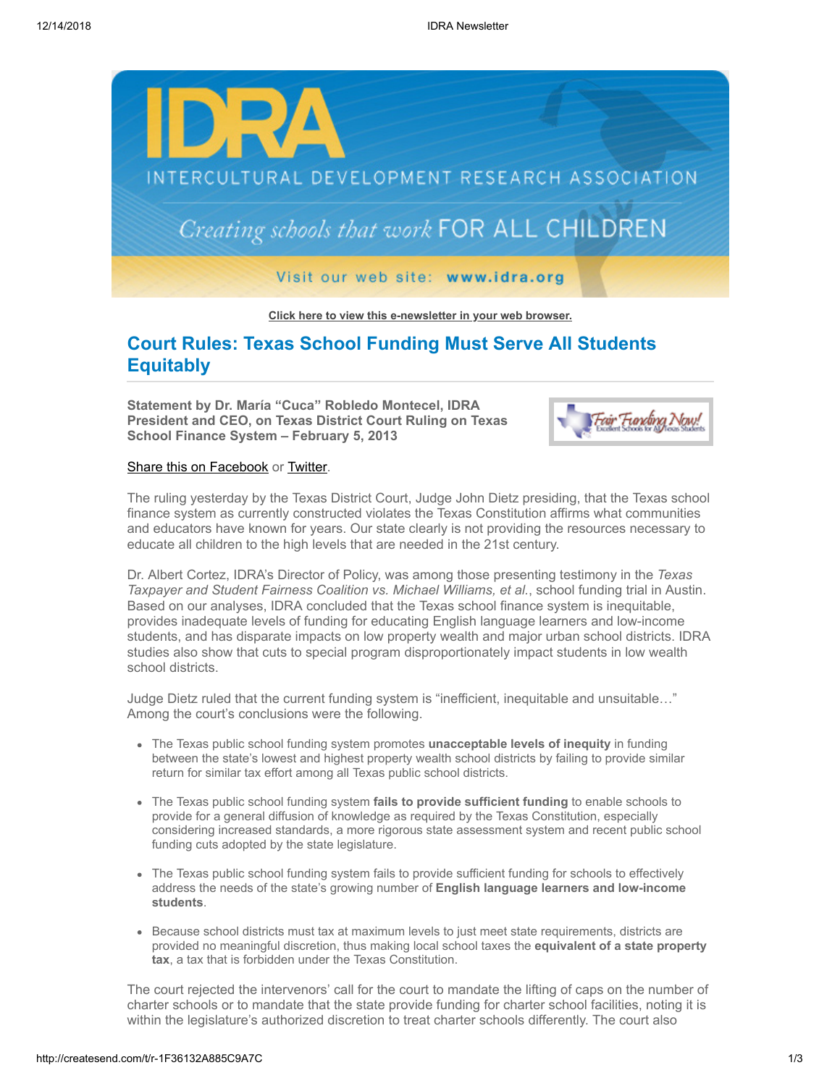

**[Click here to view this e-newsletter in your web browser.](http://newsletter.impulsedevelopment.com/t/r-e-uhtrttl-l-r/)**

# **Court Rules: Texas School Funding Must Serve All Students Equitably**

**Statement by Dr. María "Cuca" Robledo Montecel, IDRA President and CEO, on Texas District Court Ruling on Texas School Finance System – February 5, 2013**



### [Share this on Facebook](http://createsend.com/t/r-fb-uhtrttl-l-e/?act=wv) or [Twitter](http://idra.createsend1.com/t/r-tw-uhtrttl-l-w/).

The ruling yesterday by the Texas District Court, Judge John Dietz presiding, that the Texas school finance system as currently constructed violates the Texas Constitution affirms what communities and educators have known for years. Our state clearly is not providing the resources necessary to educate all children to the high levels that are needed in the 21st century.

Dr. Albert Cortez, IDRA's Director of Policy, was among those presenting testimony in the *Texas Taxpayer and Student Fairness Coalition vs. Michael Williams, et al.*, school funding trial in Austin. Based on our analyses, IDRA concluded that the Texas school finance system is inequitable, provides inadequate levels of funding for educating English language learners and low-income students, and has disparate impacts on low property wealth and major urban school districts. IDRA studies also show that cuts to special program disproportionately impact students in low wealth school districts.

Judge Dietz ruled that the current funding system is "inefficient, inequitable and unsuitable…" Among the court's conclusions were the following.

- The Texas public school funding system promotes **unacceptable levels of inequity** in funding between the state's lowest and highest property wealth school districts by failing to provide similar return for similar tax effort among all Texas public school districts.
- The Texas public school funding system **fails to provide sufficient funding** to enable schools to provide for a general diffusion of knowledge as required by the Texas Constitution, especially considering increased standards, a more rigorous state assessment system and recent public school funding cuts adopted by the state legislature.
- The Texas public school funding system fails to provide sufficient funding for schools to effectively address the needs of the state's growing number of **English language learners and low-income students**.
- Because school districts must tax at maximum levels to just meet state requirements, districts are provided no meaningful discretion, thus making local school taxes the **equivalent of a state property tax**, a tax that is forbidden under the Texas Constitution.

The court rejected the intervenors' call for the court to mandate the lifting of caps on the number of charter schools or to mandate that the state provide funding for charter school facilities, noting it is within the legislature's authorized discretion to treat charter schools differently. The court also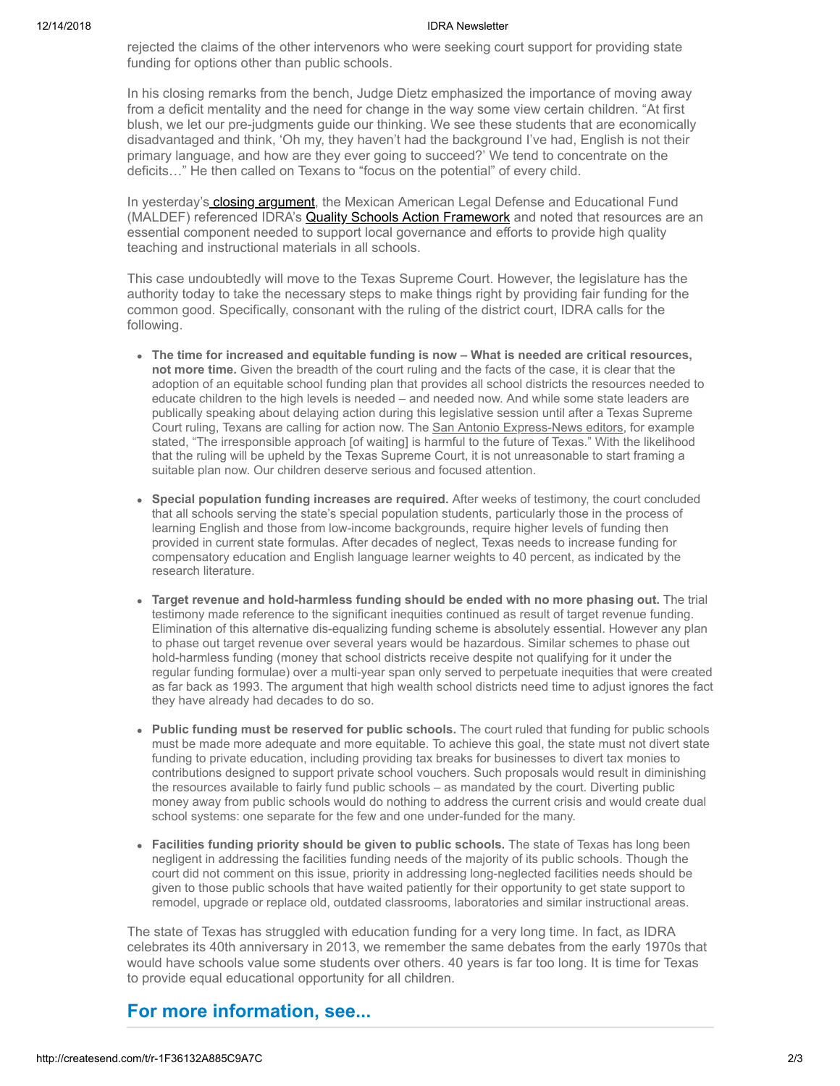#### 12/14/2018 IDRA Newsletter

rejected the claims of the other intervenors who were seeking court support for providing state funding for options other than public schools.

In his closing remarks from the bench, Judge Dietz emphasized the importance of moving away from a deficit mentality and the need for change in the way some view certain children. "At first blush, we let our pre-judgments guide our thinking. We see these students that are economically disadvantaged and think, 'Oh my, they haven't had the background I've had, English is not their primary language, and how are they ever going to succeed?' We tend to concentrate on the deficits…" He then called on Texans to "focus on the potential" of every child.

In yesterday's [closing argument,](http://idra.createsend1.com/t/r-l-uhtrttl-l-i/) the Mexican American Legal Defense and Educational Fund (MALDEF) referenced IDRA's **Quality Schools Action Framework** and noted that resources are an essential component needed to support local governance and efforts to provide high quality teaching and instructional materials in all schools.

This case undoubtedly will move to the Texas Supreme Court. However, the legislature has the authority today to take the necessary steps to make things right by providing fair funding for the common good. Specifically, consonant with the ruling of the district court, IDRA calls for the following.

- **The time for increased and equitable funding is now What is needed are critical resources, not more time.** Given the breadth of the court ruling and the facts of the case, it is clear that the adoption of an equitable school funding plan that provides all school districts the resources needed to educate children to the high levels is needed – and needed now. And while some state leaders are publically speaking about delaying action during this legislative session until after a Texas Supreme Court ruling, Texans are calling for action now. The [San Antonio Express-News editors](http://idra.createsend1.com/t/r-l-uhtrttl-l-o/), for example stated, "The irresponsible approach [of waiting] is harmful to the future of Texas." With the likelihood that the ruling will be upheld by the Texas Supreme Court, it is not unreasonable to start framing a suitable plan now. Our children deserve serious and focused attention.
- **Special population funding increases are required.** After weeks of testimony, the court concluded that all schools serving the state's special population students, particularly those in the process of learning English and those from low-income backgrounds, require higher levels of funding then provided in current state formulas. After decades of neglect, Texas needs to increase funding for compensatory education and English language learner weights to 40 percent, as indicated by the research literature.
- **Target revenue and hold-harmless funding should be ended with no more phasing out.** The trial testimony made reference to the significant inequities continued as result of target revenue funding. Elimination of this alternative dis-equalizing funding scheme is absolutely essential. However any plan to phase out target revenue over several years would be hazardous. Similar schemes to phase out hold-harmless funding (money that school districts receive despite not qualifying for it under the regular funding formulae) over a multi-year span only served to perpetuate inequities that were created as far back as 1993. The argument that high wealth school districts need time to adjust ignores the fact they have already had decades to do so.
- **Public funding must be reserved for public schools.** The court ruled that funding for public schools must be made more adequate and more equitable. To achieve this goal, the state must not divert state funding to private education, including providing tax breaks for businesses to divert tax monies to contributions designed to support private school vouchers. Such proposals would result in diminishing the resources available to fairly fund public schools – as mandated by the court. Diverting public money away from public schools would do nothing to address the current crisis and would create dual school systems: one separate for the few and one under-funded for the many.
- **Facilities funding priority should be given to public schools.** The state of Texas has long been negligent in addressing the facilities funding needs of the majority of its public schools. Though the court did not comment on this issue, priority in addressing long-neglected facilities needs should be given to those public schools that have waited patiently for their opportunity to get state support to remodel, upgrade or replace old, outdated classrooms, laboratories and similar instructional areas.

The state of Texas has struggled with education funding for a very long time. In fact, as IDRA celebrates its 40th anniversary in 2013, we remember the same debates from the early 1970s that would have schools value some students over others. 40 years is far too long. It is time for Texas to provide equal educational opportunity for all children.

## **For more information, see...**